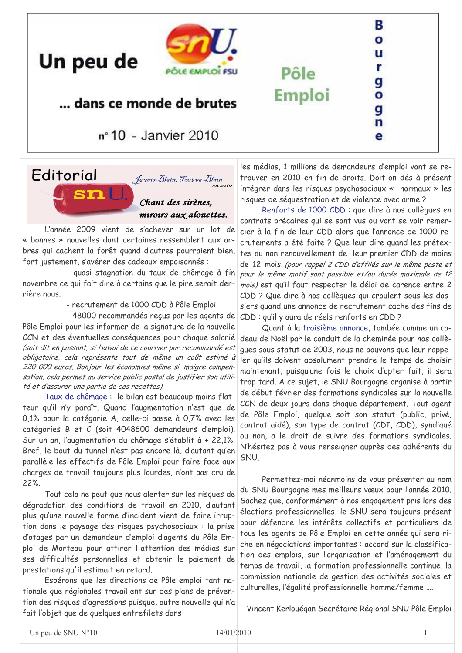

## ... dans ce monde de brutes

nº 10 - Janvier 2010

# **Editorial**

Un peu de

Je vais Blain, Tout va Blain um<br>en 2010

#### Chant des sirènes. miroirs aux alouettes.

L'année 2009 vient de s'achever sur un lot de « bonnes » nouvelles dont certaines ressemblent aux arbres qui cachent la forêt quand d'autres pourraient bien. fort justement, s'avérer des cadeaux empoisonnés :

STALL

- quasi stagnation du taux de chômage à fin novembre ce qui fait dire à certains que le pire serait derrière nous

- recrutement de 1000 CDD à Pôle Emploi.

- 48000 recommandés reçus par les agents de Pôle Emploi pour les informer de la signature de la nouvelle CCN et des éventuelles conséquences pour chaque salarié (soit dit en passant, si l'envoi de ce courrier par recommandé est obligatoire, cela représente tout de même un coût estimé à 220 000 euros. Bonjour les économies même si, maigre compensation, cela permet au service public postal de justifier son utilité et d'assurer une partie de ces recettes).

Taux de chômage : le bilan est beaucoup moins flatteur qu'il n'y paraît. Quand l'augmentation n'est que de 0,1% pour la catégorie A, celle-ci passe à 0,7% avec les catégories B et C (soit 4048600 demandeurs d'emploi). Sur un an, l'augmentation du chômage s'établit à + 22,1%. Bref, le bout du tunnel n'est pas encore là, d'autant qu'en parallèle les effectifs de Pôle Emploi pour faire face aux charges de travail toujours plus lourdes, n'ont pas cru de  $22%$ 

Tout cela ne peut que nous alerter sur les risques de dégradation des conditions de travail en 2010, d'autant plus qu'une nouvelle forme d'incident vient de faire irruption dans le paysage des risques psychosociaux : la prise d'otages par un demandeur d'emploi d'agents du Pôle Emploi de Morteau pour attirer l'attention des médias sur ses difficultés personnelles et obtenir le paiement de prestations qu'il estimait en retard.

Espérons que les directions de Pôle emploi tant nationale que régionales travaillent sur des plans de prévention des risques d'agressions puisque, autre nouvelle qui n'a fait l'objet que de quelques entrefilets dans

les médias, 1 millions de demandeurs d'emploi vont se retrouver en 2010 en fin de droits. Doit-on dés à présent intégrer dans les risques psychosociaux « normaux » les risques de séquestration et de violence avec arme?

Pôle

**Emploi** 

в  $\bullet$ u

r

g

o

g n

e

Renforts de 1000 CDD : que dire à nos collègues en contrats précaires qui se sont vus ou vont se voir remercier à la fin de leur CDD alors que l'annonce de 1000 recrutements a été faite ? Que leur dire quand les prétextes au non renouvellement de leur premier CDD de moins de 12 mois (pour rappel 2 CDD d'affilés sur le même poste et pour le même motif sont possible et/ou durée maximale de 12 mois) est qu'il faut respecter le délai de carence entre 2 CDD ? Que dire à nos collègues qui croulent sous les dossiers quand une annonce de recrutement cache des fins de CDD : qu'il y aura de réels renforts en CDD ?

Quant à la troisième annonce, tombée comme un cadeau de Noël par le conduit de la cheminée pour nos collèques sous statut de 2003, nous ne pouvons que leur rappeler qu'ils doivent absolument prendre le temps de choisir maintenant, puisqu'une fois le choix d'opter fait, il sera trop tard. A ce sujet, le SNU Bourgogne organise à partir de début février des formations syndicales sur la nouvelle CCN de deux jours dans chaque département. Tout agent de Pôle Emploi, quelque soit son statut (public, privé, contrat aidé), son type de contrat (CDI, CDD), syndiqué ou non, a le droit de suivre des formations syndicales. N'hésitez pas à vous renseigner auprès des adhérents du SNU.

Permettez-moi néanmoins de vous présenter au nom du SNU Bourgogne mes meilleurs vœux pour l'année 2010. Sachez que, conformément à nos engagement pris lors des élections professionnelles, le SNU sera toujours présent pour défendre les intérêts collectifs et particuliers de tous les agents de Pôle Emploi en cette année qui sera riche en négociations importantes : accord sur la classification des emplois, sur l'organisation et l'aménagement du temps de travail, la formation professionnelle continue, la commission nationale de gestion des activités sociales et culturelles, l'égalité professionnelle homme/femme ....

Vincent Kerlouégan Secrétaire Régional SNU Pôle Emploi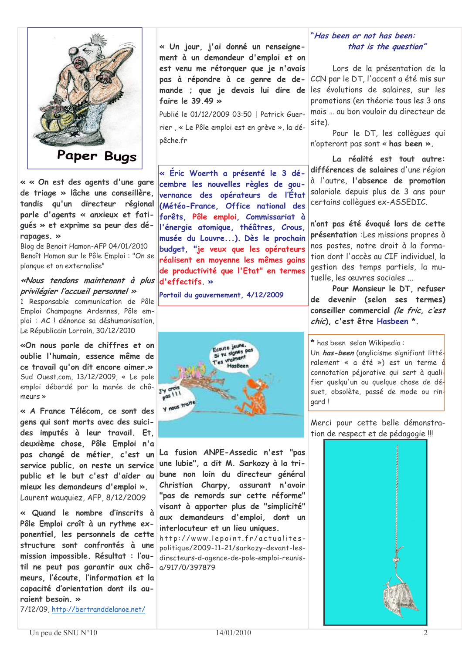

« « On est des agents d'une gare de triage » lâche une conseillère. tandis qu'un directeur régional parle d'agents « anxieux et fatiqués » et exprime sa peur des dérapages. »

Blog de Benoit Hamon-AFP 04/01/2010 Benoît Hamon sur le Pôle Emploi : "On se plangue et on externalise"

#### «Nous tendons maintenant à plus privilégier l'accueil personnel »

1 Responsable communication de Pôle Emploi Champagne Ardennes. Pôle emploi : AC ! dénonce sa déshumanisation, Le Républicain Lorrain, 30/12/2010

«On nous parle de chiffres et on oublie l'humain, essence même de ce travail qu'on dit encore aimer.» Sud Ouest.com, 13/12/2009, « Le pole emploi débordé par la marée de chô $m$ eurs »

« A France Télécom, ce sont des gens qui sont morts avec des suicides imputés à leur travail. Et. deuxième chose, Pôle Emploi n'a pas changé de métier, c'est un service public, on reste un service public et le but c'est d'aider au mieux les demandeurs d'emploi ». Laurent wauguiez, AFP, 8/12/2009

« Quand le nombre d'inscrits à Pôle Emploi croît à un rythme exponentiel, les personnels de cette structure sont confrontés à une mission impossible. Résultat : l'outil ne peut pas garantir aux chômeurs, l'écoute, l'information et la capacité d'orientation dont ils auraient besoin. »

7/12/09, http://bertranddelanoe.net/

« Un jour, j'ai donné un renseignement à un demandeur d'emploi et on est venu me rétorquer que je n'avais pas à répondre à ce genre de demande ; que je devais lui dire de faire le 39 49  $\ast$ 

Publié le 01/12/2009 03:50 | Patrick Guerrier, « Le Pôle emploi est en grève », la dépêche.fr

« Éric Woerth a présenté le 3 décembre les nouvelles règles de gouvernance des opérateurs de l'État (Météo-France, Office national des forêts, Pôle emploi, Commissariat à l'énergie atomique, théâtres, Crous, musée du Louvre...). Dès le prochain budget, "je veux que les opérateurs réalisent en moyenne les mêmes gains de productivité que l'Etat" en termes d'effectifs. »

Portail du gouvernement, 4/12/2009



La fusion ANPE-Assedic n'est "pas une lubie", a dit M. Sarkozy à la tribune non loin du directeur général Christian Charpy, assurant n'avoir "pas de remords sur cette réforme" visant à apporter plus de "simplicité" aux demandeurs d'emploi, dont un interlocuteur et un lieu uniques.

http://www.lepoint.fr/actualitespolitique/2009-11-21/sarkozy-devant-lesdirecteurs-d-agence-de-pole-emploi-reunisa/917/0/397879

#### "Has been or not has been: that is the question"

Lors de la présentation de la CCN par le DT, l'accent a été mis sur les évolutions de salaires, sur les promotions (en théorie tous les 3 ans mais ... au bon vouloir du directeur de site).

Pour le DT, les collègues qui n'opteront pas sont « has been ».

La réalité est tout autre: différences de salaires d'une région à l'autre, l'absence de promotion salariale depuis plus de 3 ans pour certains collèques ex-ASSEDIC.

n'ont pas été évoqué lors de cette présentation : Les missions propres à nos postes, notre droit à la formation dont l'accès au CIF individuel, la gestion des temps partiels, la mutuelle, les œuvres sociales ...

Pour Monsieur le DT, refuser de devenir (selon ses termes) conseiller commercial (le fric. c'est chic). c'est être Hasbeen \*.

\* has been selon Wikipedia:

Un has-been (analicisme sianifiant littéralement « a été ») est un terme  $\dot{d}$ connotation péjorative qui sert à qualifier quelqu'un ou quelque chose de désuet, obsolète, passé de mode ou ringard !

Merci pour cette belle démonstration de respect et de pédagogie !!!

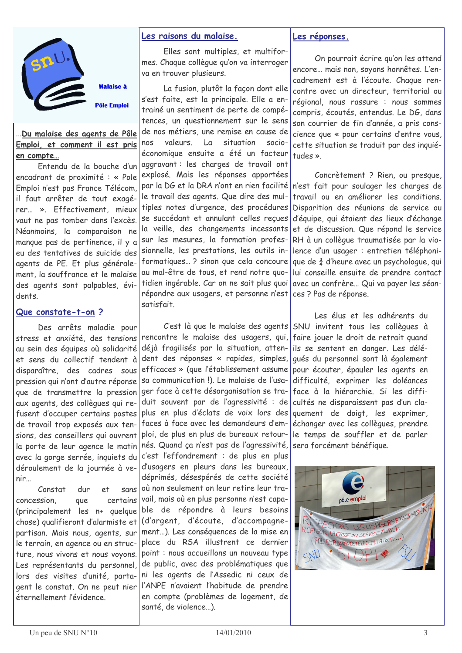

.<br>Malaice è

**Pôle Emploi** 

#### Du malaise des agents de Pôle Emploi, et comment il est pris en compte...

Entendu de la bouche d'un encadrant de proximité : « Pole Emploi n'est pas France Télécom, il faut arrêter de tout exagérer... ». Effectivement, mieux vaut ne pas tomber dans l'excès. Néanmoins. la comparaison ne manque pas de pertinence, il y a eu des tentatives de suicide des agents de PE. Et plus généralement, la souffrance et le malaise des agents sont palpables, évidents.

#### Que constate-t-on?

Des arrêts maladie pour stress et anxiété, des tensions au sein des équipes où solidarité et sens du collectif tendent à disparaître des cadres sous pression qui n'ont d'autre réponse que de transmettre la pression aux agents, des collègues qui refusent d'occuper certains postes de travail trop exposés aux tensions, des conseillers qui ouvrent la porte de leur agence le matin avec la gorge serrée, inquiets du déroulement de la journée à venir...

 $Constant$  $div$  $e<sup>+</sup>$ sans concession. que certains (principalement les n+ quelque chose) qualifieront d'alarmiste et partisan. Mais nous, agents, sur le terrain, en agence ou en structure, nous vivons et nous voyons. Les représentants du personnel, lors des visites d'unité, partagent le constat. On ne peut nier éternellement l'évidence

#### Les raisons du malaise.

Elles sont multiples, et multiformes. Chaque collèque qu'on va interroger va en trouver plusieurs.

La fusion, plutôt la façon dont elle s'est faite, est la principale. Elle a entrainé un sentiment de perte de compétences, un questionnement sur le sens de nos métiers, une remise en cause de nos valeurs  $\overline{a}$ situation  $socio$ économique ensuite a été un facteur aggravant : les charges de travail ont explosé. Mais les réponses apportées par la DG et la DRA n'ont en rien facilité le travail des agents. Que dire des multiples notes d'urgence, des procédures se succédant et annulant celles recues la veille, des changements incessants sur les mesures, la formation professionnelle, les prestations, les outils informatiques...? sinon que cela concoure au mal-être de tous, et rend notre quotidien ingérable. Car on ne sait plus quoi répondre aux usagers, et personne n'est satisfait

C'est là que le malaise des agents rencontre le malaise des usagers, qui, déjà fragilisés par la situation, attendent des réponses « rapides, simples, efficaces » (que l'établissement assume sa communication !). Le malaise de l'usager face à cette désorganisation se traduit souvent par de l'agressivité : de plus en plus d'éclats de voix lors des faces à face avec les demandeurs d'emploi, de plus en plus de bureaux retournés. Quand ça n'est pas de l'agressivité, c'est l'effondrement : de plus en plus d'usagers en pleurs dans les bureaux, déprimés, désespérés de cette société où non seulement on leur retire leur travail, mais où en plus personne n'est capable de répondre à leurs besoins (d'argent, d'écoute, d'accompagnement...). Les conséquences de la mise en place du RSA illustrent ce dernier point : nous accueillons un nouveau type de public, avec des problématiques que ni les agents de l'Assedic ni ceux de l'ANPE n'avaient l'habitude de prendre en compte (problèmes de logement, de santé, de violence...).

#### Les réponses.

On pourrait écrire au'on les attend encore... mais non, soyons honnêtes, L'encadrement est à l'écoute. Chaque rencontre avec un directeur, territorial ou régional, nous rassure : nous sommes compris, écoutés, entendus. Le DG, dans son courrier de fin d'année, a pris conscience que « pour certains d'entre vous, cette situation se traduit par des inquiétudes »

Concrètement ? Rien, ou presque, n'est fait pour soulager les charges de travail ou en améliorer les conditions. Disparition des réunions de service ou d'équipe, qui étaient des lieux d'échange et de discussion. Que répond le service RH à un collèque traumatisée par la violence d'un usager : entretien téléphonique de  $\frac{3}{4}$  d'heure avec un psychologue, qui lui conseille ensuite de prendre contact avec un confrère... Qui va payer les séances ? Pas de réponse.

Les élus et les adhérents du SNU invitent tous les collègues à faire jouer le droit de retrait quand ils se sentent en danger. Les déléqués du personnel sont là également pour écouter, épauler les agents en difficulté, exprimer les doléances face à la hiérarchie. Si les difficultés ne disparaissent pas d'un claquement de doigt, les exprimer, échanger avec les collègues, prendre le temps de souffler et de parler sera forcément bénéfique.

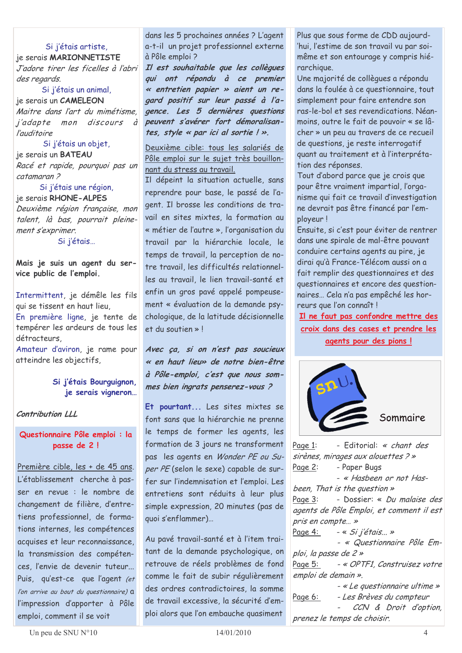#### Si j'étais artiste,

je serais MARIONNETISTE J'adore tirer les ficelles à l'abri des regards.

Si j'étais un animal, je serais un CAMELEON Maitre dans l'art du mimétisme. *i'adapte* mon discours  $\vec{a}$ *l'auditoire* 

Si j'étais un objet, je serais un **BATEAU** Racé et rapide, pourquoi pas un catamaran<sub>2</sub>

Si j'étais une région, je serais RHONE-ALPES Deuxième région française, mon talent. là bas, pourrait pleinement s'exprimer. Si j'étais...

Mais je suis un agent du service public de l'emploi.

Intermittent, je démêle les fils qui se tissent en haut lieu,

En première ligne, je tente de tempérer les ardeurs de tous les détracteurs.

Amateur d'aviron, je rame pour atteindre les objectifs,

#### Si j'étais Bourguignon, je serais vigneron...

Contribution LLL

#### Questionnaire Pôle emploi : la passe de 2!

Première cible, les + de 45 ans. L'établissement cherche à passer en revue : le nombre de changement de filière, d'entretiens professionnel, de formations internes, les compétences acquises et leur reconnaissance. la transmission des compétences, l'envie de devenir tuteur... Puis, qu'est-ce que l'agent (et l'on arrive au bout du questionnaire)  $a$ l'impression d'apporter à Pôle emploi, comment il se voit

dans les 5 prochaines années ? L'agent a-t-il un projet professionnel externe à Pôle emploi?

Il est souhaitable que les collègues qui ont répondu à ce premier « entretien papier » aient un regard positif sur leur passé à l'agence. Les 5 dernières questions peuvent s'avérer fort démoralisantes, style « par ici al sortie ! ».

Deuxième cible: tous les salariés de Pôle emploi sur le sujet très bouillonnant du stress au travail.

Il dépeint la situation actuelle, sans reprendre pour base, le passé de l'agent. Il brosse les conditions de travail en sites mixtes, la formation au « métier de l'autre », l'organisation du travail par la hiérarchie locale, le temps de travail, la perception de notre travail, les difficultés relationnelles au travail, le lien travail-santé et enfin un gros pavé appelé pompeusement « évaluation de la demande psychologique, de la latitude décisionnelle et du soutien » I

Avec ça, si on n'est pas soucieux « en haut lieu» de notre bien-être à Pôle-emploi, c'est que nous sommes bien ingrats penserez-vous?

Et pourtant... Les sites mixtes se font sans que la hiérarchie ne prenne le temps de former les agents, les formation de 3 jours ne transforment pas les agents en Wonder PE ou Super PE (selon le sexe) capable de surfer sur l'indemnisation et l'emploi. Les entretiens sont réduits à leur plus simple expression, 20 minutes (pas de quoi s'enflammer)...

Au pavé travail-santé et à l'item traitant de la demande psychologique, on retrouve de réels problèmes de fond comme le fait de subir régulièrement des ordres contradictoires, la somme de travail excessive, la sécurité d'emploi alors que l'on embauche quasiment

Plus que sous forme de CDD aujourd-'hui, l'estime de son travail vu par soimême et son entourage y compris hiérarchique.

Une majorité de collègues a répondu dans la foulée à ce questionnaire, tout simplement pour faire entendre son ras-le-bol et ses revendications. Néanmoins, outre le fait de pouvoir « se lâcher » un peu au travers de ce recueil de questions, je reste interrogatif quant au traitement et à l'interprétation des réponses.

Tout d'abord parce que je crois que pour être vraiment impartial, l'organisme qui fait ce travail d'investigation ne devrait pas être financé par l'employeur!

Ensuite, si c'est pour éviter de rentrer dans une spirale de mal-être pouvant conduire certains agents au pire, je dirai qu'à France-Télécom aussi on a fait remplir des questionnaires et des questionnaires et encore des questionnaires... Cela n'a pas empêché les horreurs que l'on connaît!

Il ne faut pas confondre mettre des croix dans des cases et prendre les agents pour des pions !



Page 1: - Editorial: « chant des sirènes, mirages aux alouettes ? » - Paper Bugs Page 2: - « Hasbeen or not Hasbeen. That is the question » - Dossier: « Du malaise des Page 3: agents de Pôle Emploi, et comment il est pris en compte... » Page 4: - « Si i'étais... » - « Questionnaire Pôle Emploi, la passe de 2 » Page 5: - « OPTF1, Construisez votre emploi de demain ». - « Le questionnaire ultime » Page 6: - Les Brèves du compteur CCN & Droit d'option, prenez le temps de choisir.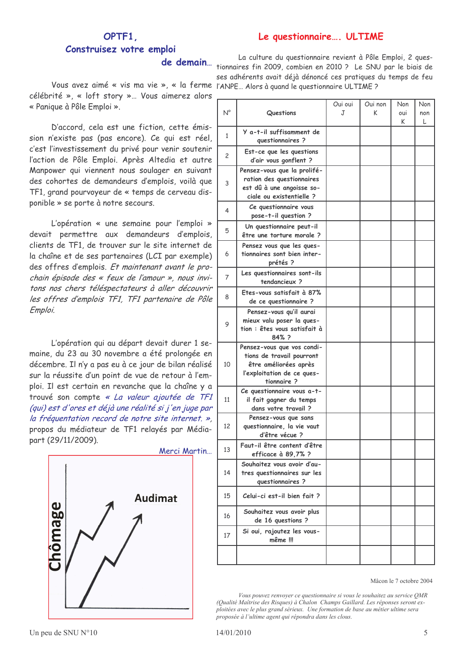#### Le questionnaire... ULTIME

### OPTF1 Construisez votre emploi

Vous avez aimé « vis ma vie », « la ferme l'ANPE ... Alors à quand le questionnaire ULTIME ? célébrité », « loft story »... Vous aimerez alors \_ « Panique à Pôle Emploi ».

D'accord, cela est une fiction, cette émission n'existe pas (pas encore). Ce qui est réel, c'est l'investissement du privé pour venir soutenir l'action de Pôle Emploi. Après Altedia et autre Manpower qui viennent nous soulager en suivant des cohortes de demandeurs d'emplois, voilà que TF1, grand pourvoyeur de « temps de cerveau disponible » se porte à notre secours.

L'opération « une semaine pour l'emploi » devait permettre aux demandeurs d'emplois. clients de TF1, de trouver sur le site internet de la chaîne et de ses partenaires (LCI par exemple) des offres d'emplois. Et maintenant avant le prochain épisode des « feux de l'amour », nous invitons nos chers téléspectateurs à aller découvrir les offres d'emplois TF1, TF1 partenaire de Pôle Emploi.

L'opération qui au départ devait durer 1 semaine, du 23 au 30 novembre a été prolongée en décembre. Il n'y a pas eu à ce jour de bilan réalisé sur la réussite d'un point de vue de retour à l'emploi. Il est certain en revanche que la chaîne y a trouvé son compte « La valeur ajoutée de TF1 (qui) est d'ores et déjà une réalité si j'en juge par la fréquentation record de notre site internet. », propos du médiateur de TF1 relayés par Médiapart (29/11/2009).



La culture du questionnaire revient à Pôle Emploi, 2 quesde demain... tionnaires fin 2009, combien en 2010 ? Le SNU par le biais de ses adhérents avait déjà dénoncé ces pratiques du temps de feu

| $N^{\circ}$  | Questions                                                                                                                    | Oui oui<br>J | Oui non<br>K | Non<br>oui | Non<br>non |
|--------------|------------------------------------------------------------------------------------------------------------------------------|--------------|--------------|------------|------------|
| $\mathbf{1}$ | Y a-t-il suffisamment de<br>questionnaires ?                                                                                 |              |              | K          | L          |
| 2            | Est-ce que les questions<br>d'air vous gonflent ?                                                                            |              |              |            |            |
| 3            | Pensez-vous que la prolifé-<br>ration des questionnaires<br>est dû à une angoisse so-<br>ciale ou existentielle ?            |              |              |            |            |
| 4            | Ce questionnaire vous<br>pose-t-il question ?                                                                                |              |              |            |            |
| 5            | Un questionnaire peut-il<br>être une torture morale ?                                                                        |              |              |            |            |
| 6            | Pensez vous que les ques-<br>tionnaires sont bien inter-<br>prétés ?                                                         |              |              |            |            |
| 7            | Les questionnaires sont-ils<br>tendancieux?                                                                                  |              |              |            |            |
| 8            | Etes-vous satisfait à 87%<br>de ce questionnaire ?                                                                           |              |              |            |            |
| 9            | Pensez-vous qu'il aurai<br>mieux valu poser la ques-<br>tion : êtes vous satisfait à<br>84% ?                                |              |              |            |            |
| 10           | Pensez-vous que vos condi-<br>tions de travail pourront<br>être améliorées après<br>l'exploitation de ce ques-<br>tionnaire? |              |              |            |            |
| 11           | Ce questionnaire vous a-t-<br>il fait gagner du temps<br>dans votre travail ?                                                |              |              |            |            |
| 12           | Pensez-vous que sans<br>questionnaire, la vie vaut<br>d'être vécue ?                                                         |              |              |            |            |
| 13           | Faut-il être content d'être<br>efficace à 89,7% ?                                                                            |              |              |            |            |
| 14           | Souhaitez vous avoir d'au-<br>tres questionnaires sur les<br>questionnaires ?                                                |              |              |            |            |
| 15           | Celui-ci est-il bien fait?                                                                                                   |              |              |            |            |
| 16           | Souhaitez vous avoir plus<br>de 16 questions ?                                                                               |              |              |            |            |
| 17           | Si oui, rajoutez les vous-<br>même !!!                                                                                       |              |              |            |            |
|              |                                                                                                                              |              |              |            |            |

Mâcon le 7 octobre 2004

Vous pouvez renvoyer ce questionnaire si vous le souhaitez au service QMR (Qualité Maîtrise des Risques) à Chalon Champs Gaillard. Les réponses seront exploitées avec le plus grand sérieux. Une formation de base au métier ultime sera proposée à l'ultime agent qui répondra dans les clous.